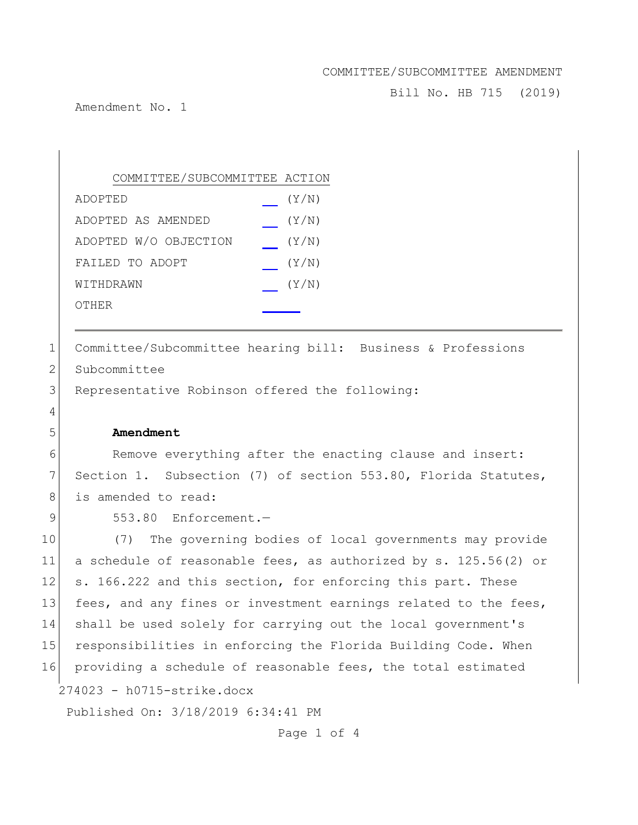Bill No. HB 715 (2019)

Amendment No. 1

| COMMITTEE/SUBCOMMITTEE ACTION |       |
|-------------------------------|-------|
| ADOPTED                       | (Y/N) |
| ADOPTED AS AMENDED            | (Y/N) |
| ADOPTED W/O OBJECTION         | (Y/N) |
| FAILED TO ADOPT               | (Y/N) |
| WITHDRAWN                     | (Y/N) |
| OTHER                         |       |
|                               |       |

1 Committee/Subcommittee hearing bill: Business & Professions 2 Subcommittee 3 Representative Robinson offered the following: 4 5 **Amendment** 6 Remove everything after the enacting clause and insert: 7 Section 1. Subsection (7) of section 553.80, Florida Statutes,

8 is amended to read:

9 553.80 Enforcement.-

274023 - h0715-strike.docx Published On: 3/18/2019 6:34:41 PM 10 (7) The governing bodies of local governments may provide 11 a schedule of reasonable fees, as authorized by s. 125.56(2) or 12 s. 166.222 and this section, for enforcing this part. These 13 fees, and any fines or investment earnings related to the fees, 14 shall be used solely for carrying out the local government's 15 responsibilities in enforcing the Florida Building Code. When 16 providing a schedule of reasonable fees, the total estimated

Page 1 of 4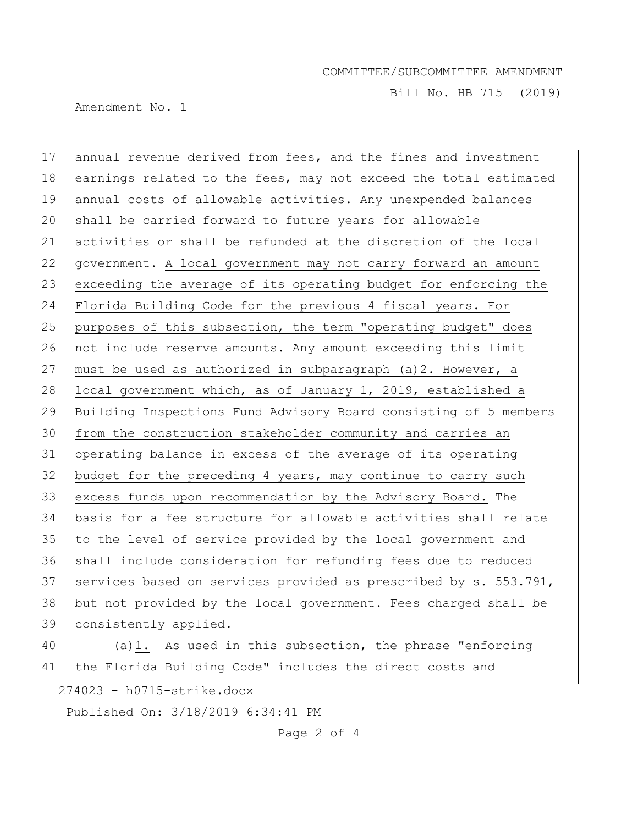Bill No. HB 715 (2019)

Amendment No. 1

 annual revenue derived from fees, and the fines and investment 18 earnings related to the fees, may not exceed the total estimated annual costs of allowable activities. Any unexpended balances shall be carried forward to future years for allowable activities or shall be refunded at the discretion of the local government. A local government may not carry forward an amount 23 exceeding the average of its operating budget for enforcing the Florida Building Code for the previous 4 fiscal years. For 25 purposes of this subsection, the term "operating budget" does 26 not include reserve amounts. Any amount exceeding this limit 27 must be used as authorized in subparagraph  $(a)$  2. However, a 28 local government which, as of January 1, 2019, established a Building Inspections Fund Advisory Board consisting of 5 members from the construction stakeholder community and carries an operating balance in excess of the average of its operating 32 budget for the preceding 4 years, may continue to carry such excess funds upon recommendation by the Advisory Board. The basis for a fee structure for allowable activities shall relate to the level of service provided by the local government and shall include consideration for refunding fees due to reduced 37 services based on services provided as prescribed by s. 553.791, but not provided by the local government. Fees charged shall be consistently applied.

274023 - h0715-strike.docx 40 (a)1. As used in this subsection, the phrase "enforcing 41 the Florida Building Code" includes the direct costs and

Published On: 3/18/2019 6:34:41 PM

Page 2 of 4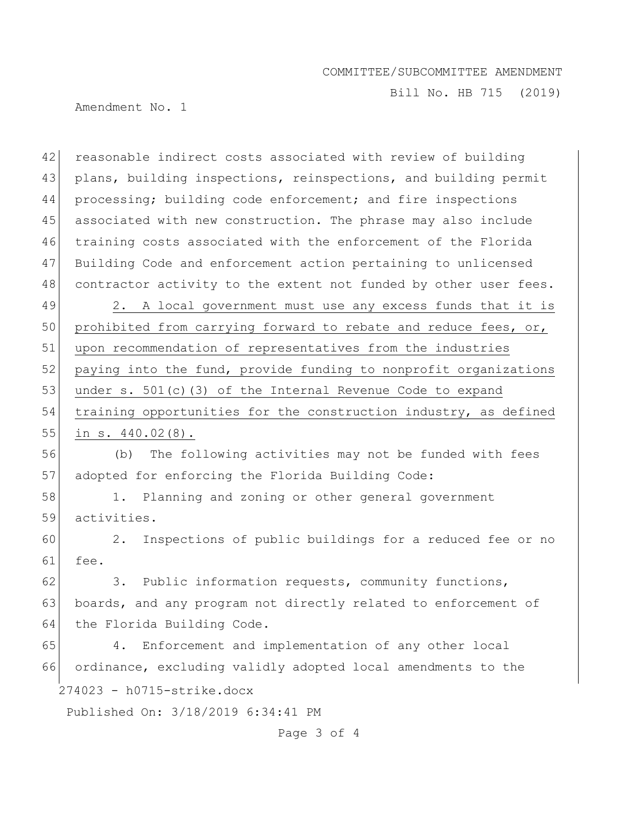Bill No. HB 715 (2019)

Amendment No. 1

42 reasonable indirect costs associated with review of building 43 plans, building inspections, reinspections, and building permit 44 processing; building code enforcement; and fire inspections 45 associated with new construction. The phrase may also include 46 training costs associated with the enforcement of the Florida 47 Building Code and enforcement action pertaining to unlicensed 48 contractor activity to the extent not funded by other user fees.

49 2. A local government must use any excess funds that it is 50 prohibited from carrying forward to rebate and reduce fees, or, 51 upon recommendation of representatives from the industries 52 paying into the fund, provide funding to nonprofit organizations 53 under s. 501(c)(3) of the Internal Revenue Code to expand 54 training opportunities for the construction industry, as defined 55 in s. 440.02(8).

56 (b) The following activities may not be funded with fees 57 adopted for enforcing the Florida Building Code:

58 1. Planning and zoning or other general government 59 activities.

60 2. Inspections of public buildings for a reduced fee or no 61 fee.

 $62$  3. Public information requests, community functions, 63 boards, and any program not directly related to enforcement of 64 the Florida Building Code.

274023 - h0715-strike.docx 65 4. Enforcement and implementation of any other local 66 ordinance, excluding validly adopted local amendments to the

Published On: 3/18/2019 6:34:41 PM

Page 3 of 4